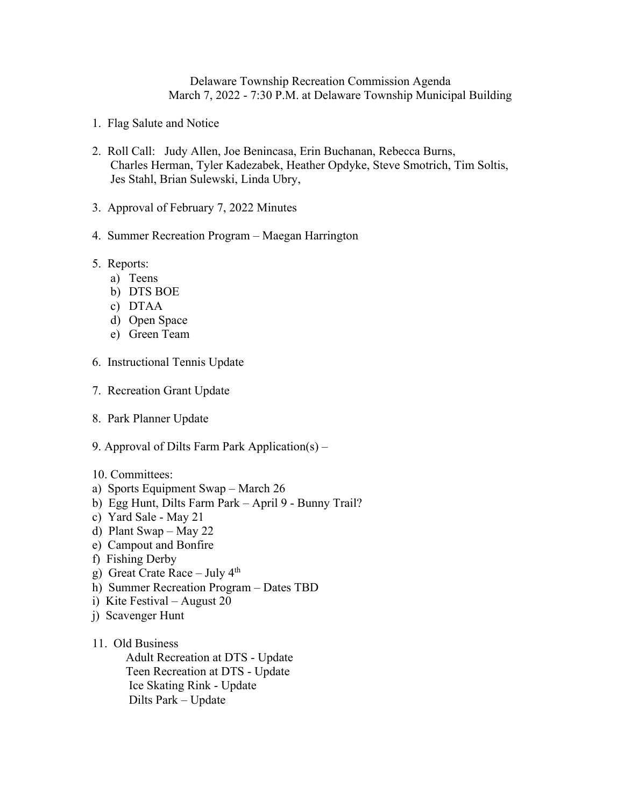Delaware Township Recreation Commission Agenda March 7, 2022 - 7:30 P.M. at Delaware Township Municipal Building

- 1. Flag Salute and Notice
- 2. Roll Call: Judy Allen, Joe Benincasa, Erin Buchanan, Rebecca Burns, Charles Herman, Tyler Kadezabek, Heather Opdyke, Steve Smotrich, Tim Soltis, Jes Stahl, Brian Sulewski, Linda Ubry,
- 3. Approval of February 7, 2022 Minutes
- 4. Summer Recreation Program Maegan Harrington
- 5. Reports:
	- a) Teens
	- b) DTS BOE
	- c) DTAA
	- d) Open Space
	- e) Green Team
- 6. Instructional Tennis Update
- 7. Recreation Grant Update
- 8. Park Planner Update
- 9. Approval of Dilts Farm Park Application(s) –
- 10. Committees:
- a) Sports Equipment Swap March 26
- b) Egg Hunt, Dilts Farm Park April 9 Bunny Trail?
- c) Yard Sale May 21
- d) Plant Swap May 22
- e) Campout and Bonfire
- f) Fishing Derby
- g) Great Crate Race July  $4<sup>th</sup>$
- h) Summer Recreation Program Dates TBD
- i) Kite Festival August 20
- j) Scavenger Hunt
- 11. Old Business

 Adult Recreation at DTS - Update Teen Recreation at DTS - Update Ice Skating Rink - Update Dilts Park – Update